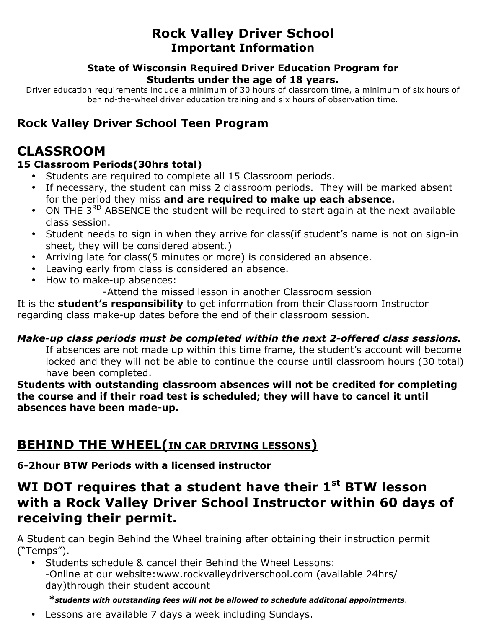# **Rock Valley Driver School Important Information**

#### **State of Wisconsin Required Driver Education Program for Students under the age of 18 years.**

Driver education requirements include a minimum of 30 hours of classroom time, a minimum of six hours of behind-the-wheel driver education training and six hours of observation time.

## **Rock Valley Driver School Teen Program**

# **CLASSROOM**

### **15 Classroom Periods(30hrs total)**

- Students are required to complete all 15 Classroom periods.
- If necessary, the student can miss 2 classroom periods. They will be marked absent for the period they miss **and are required to make up each absence.**
- ON THE 3<sup>RD</sup> ABSENCE the student will be required to start again at the next available class session.
- Student needs to sign in when they arrive for class(if student's name is not on sign-in sheet, they will be considered absent.)
- Arriving late for class(5 minutes or more) is considered an absence.
- Leaving early from class is considered an absence.
- How to make-up absences:

-Attend the missed lesson in another Classroom session

It is the **student's responsibility** to get information from their Classroom Instructor regarding class make-up dates before the end of their classroom session.

### *Make-up class periods must be completed within the next 2-offered class sessions.*

If absences are not made up within this time frame, the student's account will become locked and they will not be able to continue the course until classroom hours (30 total) have been completed.

**Students with outstanding classroom absences will not be credited for completing the course and if their road test is scheduled; they will have to cancel it until absences have been made-up.**

## **BEHIND THE WHEEL(IN CAR DRIVING LESSONS)**

**6-2hour BTW Periods with a licensed instructor**

# **WI DOT requires that a student have their 1st BTW lesson with a Rock Valley Driver School Instructor within 60 days of receiving their permit.**

A Student can begin Behind the Wheel training after obtaining their instruction permit ("Temps").

• Students schedule & cancel their Behind the Wheel Lessons: -Online at our website:www.rockvalleydriverschool.com (available 24hrs/ day)through their student account

### *\*students with outstanding fees will not be allowed to schedule additonal appointments*.

• Lessons are available 7 days a week including Sundays.